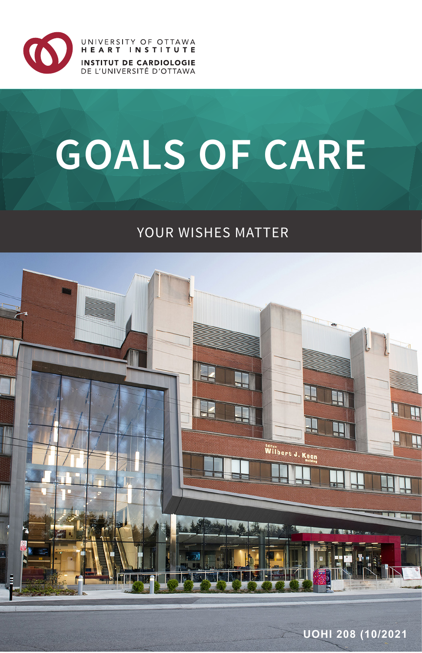

UNIVERSITY OF OTTAWA HEART INSTITUTE **INSTITUT DE CARDIOLOGIE** DE L'UNIVERSITÉ D'OTTAWA

# **GOALS OF CARE**

## YOUR WISHES MATTER

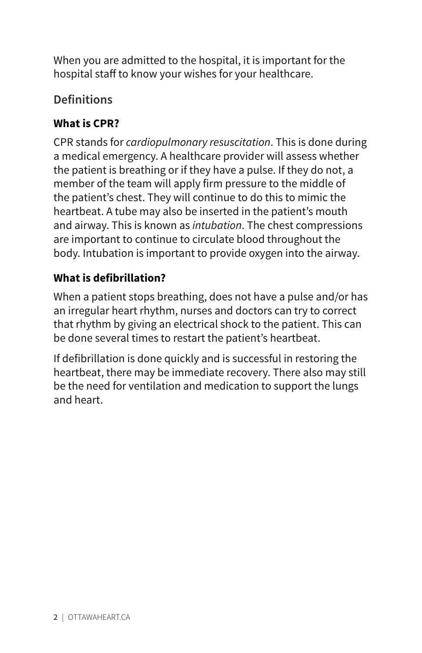When you are admitted to the hospital, it is important for the hospital staff to know your wishes for your healthcare.

## **Definitions**

## **What is CPR?**

CPR stands for *cardiopulmonary resuscitation*. This is done during a medical emergency. A healthcare provider will assess whether the patient is breathing or if they have a pulse. If they do not, a member of the team will apply firm pressure to the middle of the patient's chest. They will continue to do this to mimic the heartbeat. A tube may also be inserted in the patient's mouth and airway. This is known as *intubation*. The chest compressions are important to continue to circulate blood throughout the body. Intubation is important to provide oxygen into the airway.

## **What is defibrillation?**

When a patient stops breathing, does not have a pulse and/or has an irregular heart rhythm, nurses and doctors can try to correct that rhythm by giving an electrical shock to the patient. This can be done several times to restart the patient's heartbeat.

If defibrillation is done quickly and is successful in restoring the heartbeat, there may be immediate recovery. There also may still be the need for ventilation and medication to support the lungs and heart.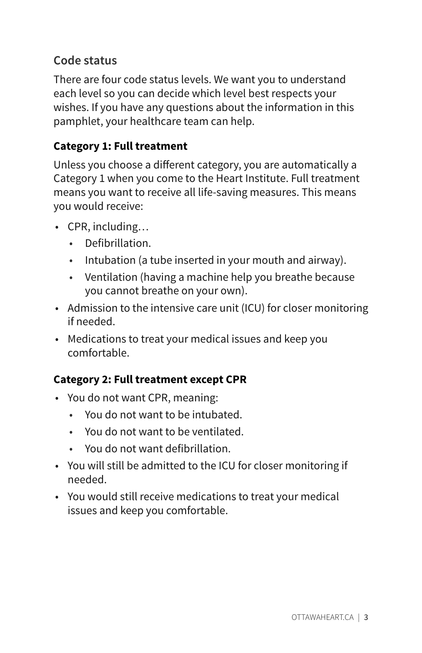## **Code status**

There are four code status levels. We want you to understand each level so you can decide which level best respects your wishes. If you have any questions about the information in this pamphlet, your healthcare team can help.

## **Category 1: Full treatment**

Unless you choose a different category, you are automatically a Category 1 when you come to the Heart Institute. Full treatment means you want to receive all life-saving measures. This means you would receive:

- CPR, including…
	- Defibrillation.
	- Intubation (a tube inserted in your mouth and airway).
	- Ventilation (having a machine help you breathe because you cannot breathe on your own).
- Admission to the intensive care unit (ICU) for closer monitoring if needed.
- Medications to treat your medical issues and keep you comfortable.

## **Category 2: Full treatment except CPR**

- You do not want CPR, meaning:
	- You do not want to be intubated.
	- You do not want to be ventilated.
	- You do not want defibrillation.
- You will still be admitted to the ICU for closer monitoring if needed.
- You would still receive medications to treat your medical issues and keep you comfortable.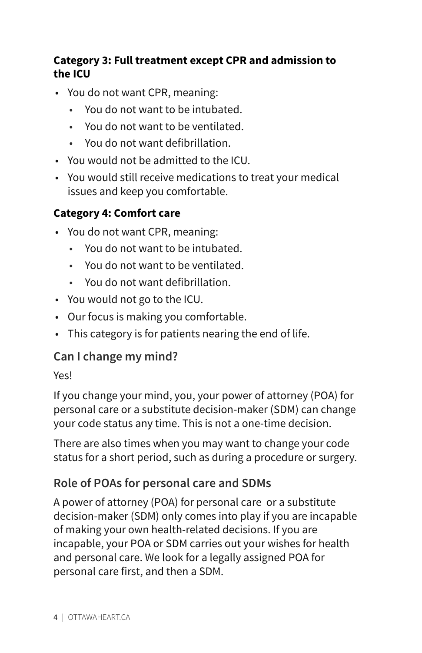#### **Category 3: Full treatment except CPR and admission to the ICU**

- You do not want CPR, meaning:
	- You do not want to be intubated.
	- You do not want to be ventilated.
	- You do not want defibrillation.
- You would not be admitted to the ICU.
- You would still receive medications to treat your medical issues and keep you comfortable.

#### **Category 4: Comfort care**

- You do not want CPR, meaning:
	- You do not want to be intubated.
	- You do not want to be ventilated.
	- You do not want defibrillation.
- You would not go to the ICU.
- Our focus is making you comfortable.
- This category is for patients nearing the end of life.

#### **Can I change my mind?**

#### Yes!

If you change your mind, you, your power of attorney (POA) for personal care or a substitute decision-maker (SDM) can change your code status any time. This is not a one-time decision.

There are also times when you may want to change your code status for a short period, such as during a procedure or surgery.

#### **Role of POAs for personal care and SDMs**

A power of attorney (POA) for personal care or a substitute decision-maker (SDM) only comes into play if you are incapable of making your own health-related decisions. If you are incapable, your POA or SDM carries out your wishes for health and personal care. We look for a legally assigned POA for personal care first, and then a SDM.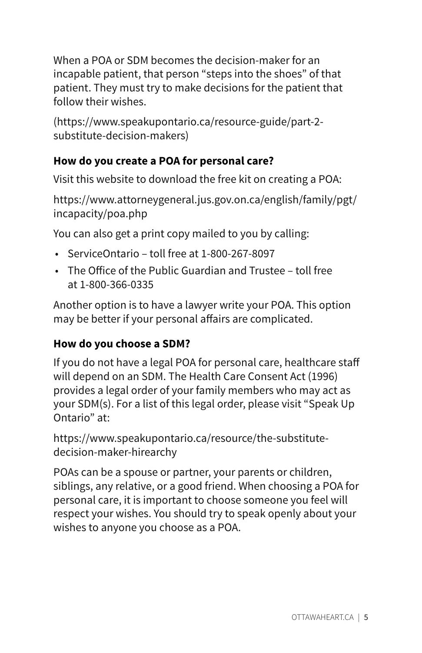When a POA or SDM becomes the decision-maker for an incapable patient, that person "steps into the shoes" of that patient. They must try to make decisions for the patient that follow their wishes.

(https://www.speakupontario.ca/resource-guide/part-2 substitute-decision-makers)

## **How do you create a POA for personal care?**

Visit this website to download the free kit on creating a POA:

https://www.attorneygeneral.jus.gov.on.ca/english/family/pgt/ incapacity/poa.php

You can also get a print copy mailed to you by calling:

- ServiceOntario toll free at 1-800-267-8097
- The Office of the Public Guardian and Trustee toll free at 1-800-366-0335

Another option is to have a lawyer write your POA. This option may be better if your personal affairs are complicated.

## **How do you choose a SDM?**

If you do not have a legal POA for personal care, healthcare staff will depend on an SDM. The Health Care Consent Act (1996) provides a legal order of your family members who may act as your SDM(s). For a list of this legal order, please visit "Speak Up Ontario" at:

https://www.speakupontario.ca/resource/the-substitutedecision-maker-hirearchy

POAs can be a spouse or partner, your parents or children, siblings, any relative, or a good friend. When choosing a POA for personal care, it is important to choose someone you feel will respect your wishes. You should try to speak openly about your wishes to anyone you choose as a POA.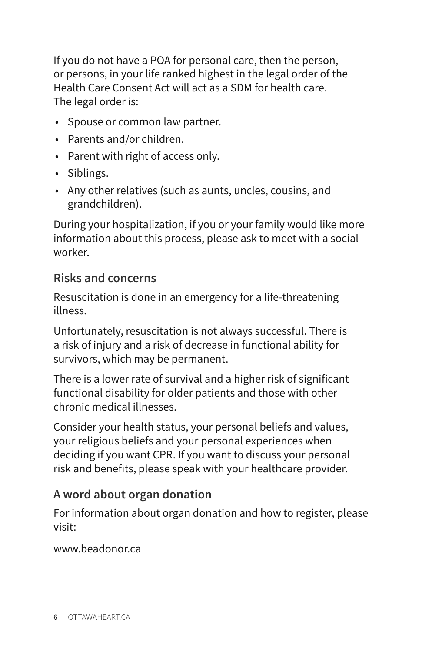If you do not have a POA for personal care, then the person, or persons, in your life ranked highest in the legal order of the Health Care Consent Act will act as a SDM for health care. The legal order is:

- Spouse or common law partner.
- Parents and/or children.
- Parent with right of access only.
- Siblings.
- Any other relatives (such as aunts, uncles, cousins, and grandchildren).

During your hospitalization, if you or your family would like more information about this process, please ask to meet with a social worker.

## **Risks and concerns**

Resuscitation is done in an emergency for a life-threatening illness.

Unfortunately, resuscitation is not always successful. There is a risk of injury and a risk of decrease in functional ability for survivors, which may be permanent.

There is a lower rate of survival and a higher risk of significant functional disability for older patients and those with other chronic medical illnesses.

Consider your health status, your personal beliefs and values, your religious beliefs and your personal experiences when deciding if you want CPR. If you want to discuss your personal risk and benefits, please speak with your healthcare provider.

## **A word about organ donation**

For information about organ donation and how to register, please visit:

www.beadonor.ca